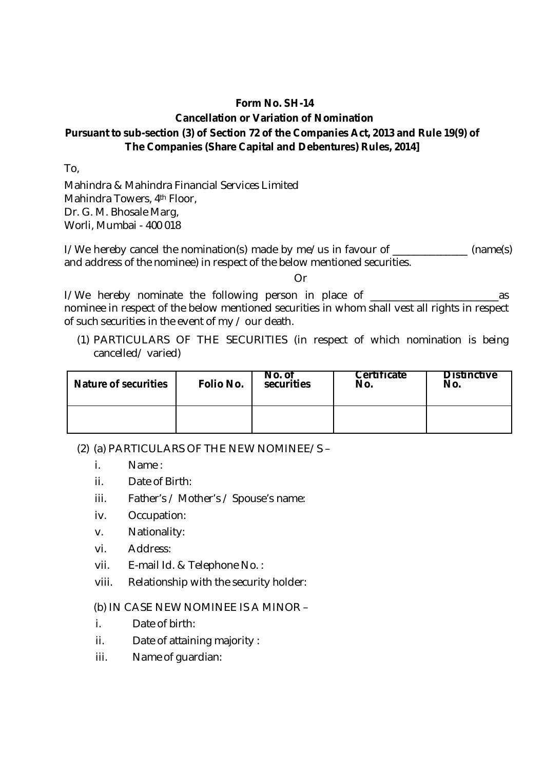## **Form No. SH-14 Cancellation or Variation of Nomination Pursuant to sub-section (3) of Section 72 of the Companies Act, 2013 and Rule 19(9) of The Companies (Share Capital and Debentures) Rules, 2014]**

To,

Mahindra & Mahindra Financial Services Limited Mahindra Towers, 4<sup>th</sup> Floor, Dr. G. M. Bhosale Marg, Worli, Mumbai - 400 018

I/We hereby cancel the nomination(s) made by me/us in favour of \_\_\_\_\_\_\_\_\_\_\_\_\_ (name(s) and address of the nominee) in respect of the below mentioned securities.

Or

I/We hereby nominate the following person in place of \_\_\_\_\_\_\_\_\_\_\_\_\_\_\_\_\_\_\_\_\_\_\_\_as nominee in respect of the below mentioned securities in whom shall vest all rights in respect of such securities in the event of my / our death.

(1) PARTICULARS OF THE SECURITIES (in respect of which nomination is being cancelled/ varied)

| <b>Nature of securities</b> | Folio No. | No. of<br>securities | <b>Certificate</b><br>No. | <b>Distinctive</b><br>No. |
|-----------------------------|-----------|----------------------|---------------------------|---------------------------|
|                             |           |                      |                           |                           |

(2) (a) PARTICULARS OF THE NEW NOMINEE/S –

- i. Name :
- ii. Date of Birth:
- iii. Father's / Mother's / Spouse's name:
- iv. Occupation:
- v. Nationality:
- vi. Address:
- vii. E-mail Id. & Telephone No. :
- viii. Relationship with the security holder:

(b) IN CASE NEW NOMINEE IS A MINOR –

- i. Date of birth:
- ii. Date of attaining majority :
- iii. Name of guardian: